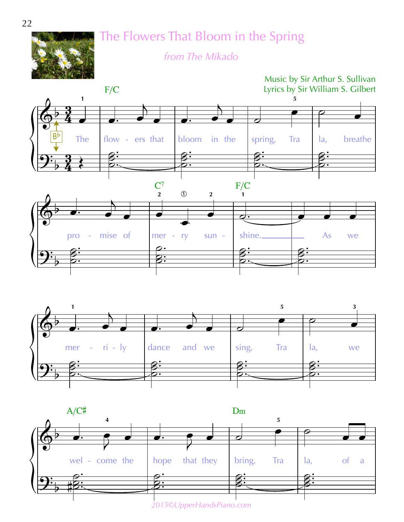

The Flowers That Bloom in the Spring

*from The Mikado*







*2015©UpperHandsPiano.com*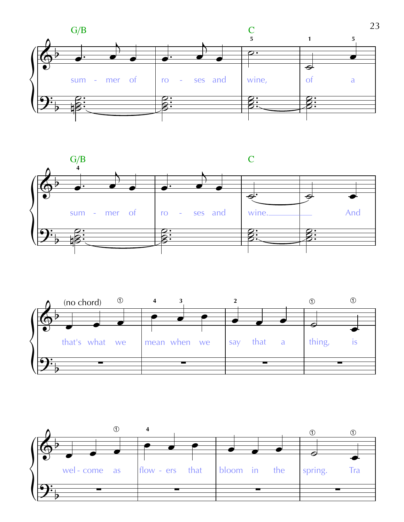